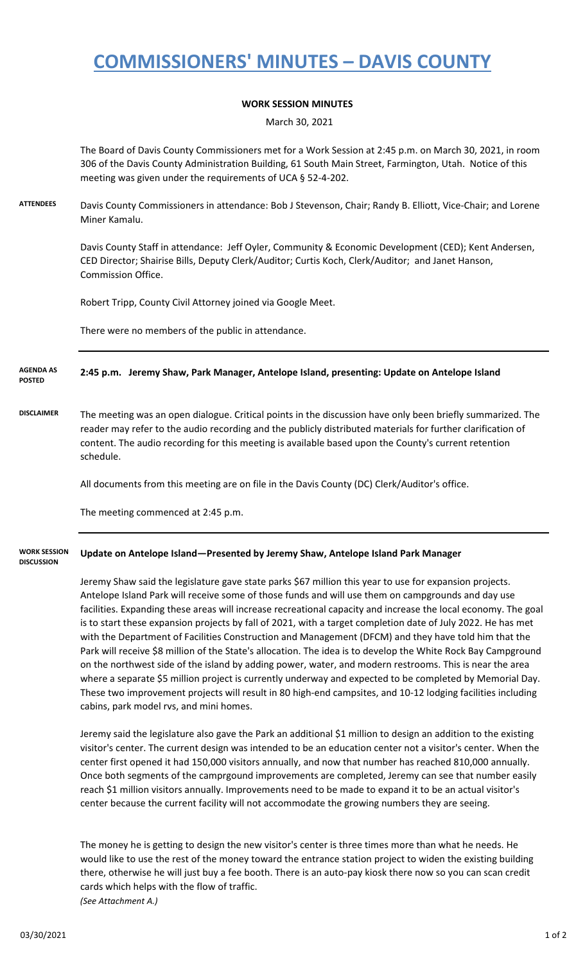# **COMMISSIONERS' MINUTES – DAVIS COUNTY**

### **WORK SESSION MINUTES**

March 30, 2021

The Board of Davis County Commissioners met for a Work Session at 2:45 p.m. on March 30, 2021, in room 306 of the Davis County Administration Building, 61 South Main Street, Farmington, Utah. Notice of this meeting was given under the requirements of UCA § 52-4-202.

**ATTENDEES** Davis County Commissioners in attendance: Bob J Stevenson, Chair; Randy B. Elliott, Vice-Chair; and Lorene Miner Kamalu.

> Davis County Staff in attendance: Jeff Oyler, Community & Economic Development (CED); Kent Andersen, CED Director; Shairise Bills, Deputy Clerk/Auditor; Curtis Koch, Clerk/Auditor; and Janet Hanson, Commission Office.

Robert Tripp, County Civil Attorney joined via Google Meet.

There were no members of the public in attendance.

#### **2:45 p.m. Jeremy Shaw, Park Manager, Antelope Island, presenting: Update on Antelope Island AGENDA AS POSTED**

**DISCLAIMER** The meeting was an open dialogue. Critical points in the discussion have only been briefly summarized. The reader may refer to the audio recording and the publicly distributed materials for further clarification of content. The audio recording for this meeting is available based upon the County's current retention schedule.

All documents from this meeting are on file in the Davis County (DC) Clerk/Auditor's office.

The meeting commenced at 2:45 p.m.

#### **Update on Antelope Island—Presented by Jeremy Shaw, Antelope Island Park Manager WORK SESSION DISCUSSION**

Jeremy Shaw said the legislature gave state parks \$67 million this year to use for expansion projects. Antelope Island Park will receive some of those funds and will use them on campgrounds and day use facilities. Expanding these areas will increase recreational capacity and increase the local economy. The goal is to start these expansion projects by fall of 2021, with a target completion date of July 2022. He has met with the Department of Facilities Construction and Management (DFCM) and they have told him that the Park will receive \$8 million of the State's allocation. The idea is to develop the White Rock Bay Campground on the northwest side of the island by adding power, water, and modern restrooms. This is near the area where a separate \$5 million project is currently underway and expected to be completed by Memorial Day. These two improvement projects will result in 80 high-end campsites, and 10-12 lodging facilities including cabins, park model rvs, and mini homes.

Jeremy said the legislature also gave the Park an additional \$1 million to design an addition to the existing visitor's center. The current design was intended to be an education center not a visitor's center. When the center first opened it had 150,000 visitors annually, and now that number has reached 810,000 annually. Once both segments of the camprgound improvements are completed, Jeremy can see that number easily reach \$1 million visitors annually. Improvements need to be made to expand it to be an actual visitor's center because the current facility will not accommodate the growing numbers they are seeing.

The money he is getting to design the new visitor's center is three times more than what he needs. He would like to use the rest of the money toward the entrance station project to widen the existing building there, otherwise he will just buy a fee booth. There is an auto-pay kiosk there now so you can scan credit cards which helps with the flow of traffic. *(See Attachment A.)*